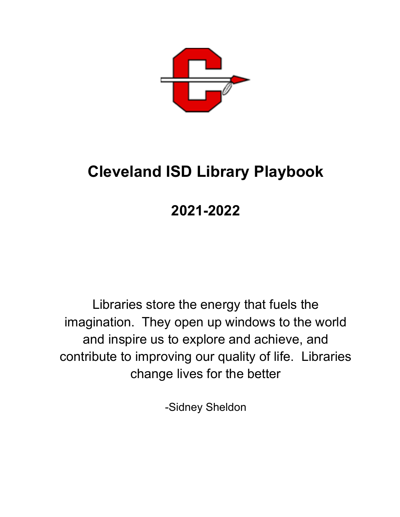

# **Cleveland ISD Library Playbook**

# **2021-2022**

Libraries store the energy that fuels the imagination. They open up windows to the world and inspire us to explore and achieve, and contribute to improving our quality of life. Libraries change lives for the better

-Sidney Sheldon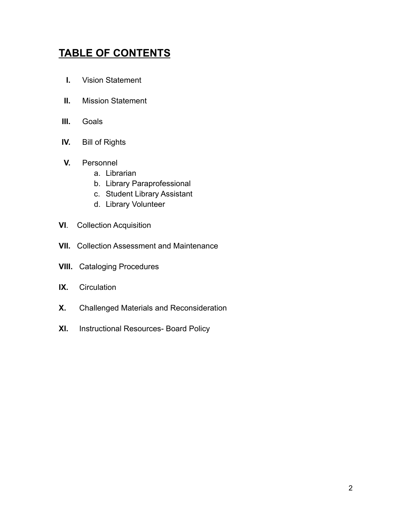## **TABLE OF CONTENTS**

- **I.** Vision Statement
- **II.** Mission Statement
- **III.** Goals
- **IV.** Bill of Rights
- **V.** Personnel
	- a. Librarian
	- b. Library Paraprofessional
	- c. Student Library Assistant
	- d. Library Volunteer
- **VI**. Collection Acquisition
- **VII.** Collection Assessment and Maintenance
- **VIII.** Cataloging Procedures
- **IX.** Circulation
- **X.** Challenged Materials and Reconsideration
- **XI.** Instructional Resources- Board Policy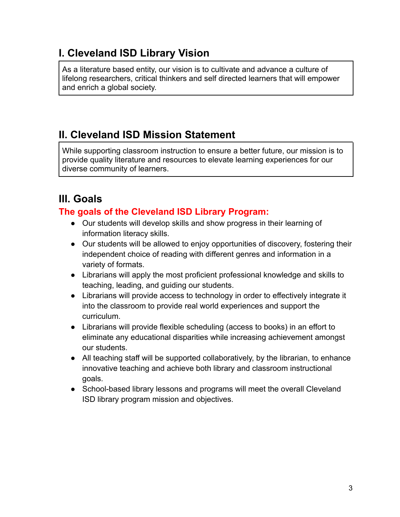## **I. Cleveland ISD Library Vision**

As a literature based entity, our vision is to cultivate and advance a culture of lifelong researchers, critical thinkers and self directed learners that will empower and enrich a global society.

## **II. Cleveland ISD Mission Statement**

While supporting classroom instruction to ensure a better future, our mission is to provide quality literature and resources to elevate learning experiences for our diverse community of learners.

## **III. Goals**

## **The goals of the Cleveland ISD Library Program:**

- Our students will develop skills and show progress in their learning of information literacy skills.
- Our students will be allowed to enjoy opportunities of discovery, fostering their independent choice of reading with different genres and information in a variety of formats.
- Librarians will apply the most proficient professional knowledge and skills to teaching, leading, and guiding our students.
- Librarians will provide access to technology in order to effectively integrate it into the classroom to provide real world experiences and support the curriculum.
- Librarians will provide flexible scheduling (access to books) in an effort to eliminate any educational disparities while increasing achievement amongst our students.
- All teaching staff will be supported collaboratively, by the librarian, to enhance innovative teaching and achieve both library and classroom instructional goals.
- School-based library lessons and programs will meet the overall Cleveland ISD library program mission and objectives.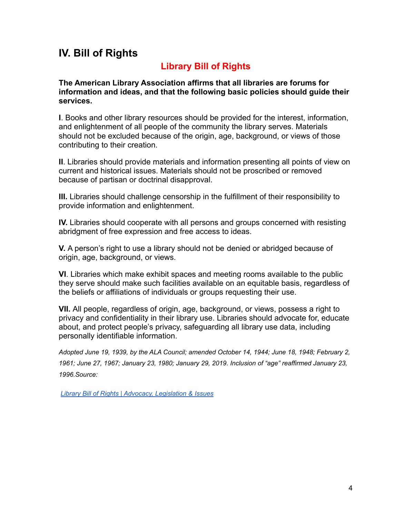## **IV. Bill of Rights**

## **Library Bill of Rights**

**The American Library Association affirms that all libraries are forums for information and ideas, and that the following basic policies should guide their services.**

**I**. Books and other library resources should be provided for the interest, information, and enlightenment of all people of the community the library serves. Materials should not be excluded because of the origin, age, background, or views of those contributing to their creation.

**II**. Libraries should provide materials and information presenting all points of view on current and historical issues. Materials should not be proscribed or removed because of partisan or doctrinal disapproval.

**III.** Libraries should challenge censorship in the fulfillment of their responsibility to provide information and enlightenment.

**IV.** Libraries should cooperate with all persons and groups concerned with resisting abridgment of free expression and free access to ideas.

**V.** A person's right to use a library should not be denied or abridged because of origin, age, background, or views.

**VI**. Libraries which make exhibit spaces and meeting rooms available to the public they serve should make such facilities available on an equitable basis, regardless of the beliefs or affiliations of individuals or groups requesting their use.

**VII.** All people, regardless of origin, age, background, or views, possess a right to privacy and confidentiality in their library use. Libraries should advocate for, educate about, and protect people's privacy, safeguarding all library use data, including personally identifiable information.

*Adopted June 19, 1939, by the ALA Council; amended October 14, 1944; June 18, 1948; February 2, 1961; June 27, 1967; January 23, 1980; January 29, 2019. Inclusion of "age" reaffirmed January 23, 1996.Source:*

*Library Bill of Rights | Advocacy, [Legislation](http://www.ala.org/advocacy/intfreedom/librarybill) & Issues*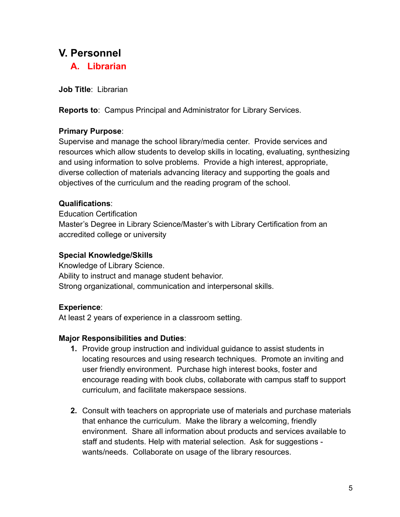## **V. Personnel**

**A. Librarian**

**Job Title**: Librarian

**Reports to**: Campus Principal and Administrator for Library Services.

## **Primary Purpose**:

Supervise and manage the school library/media center. Provide services and resources which allow students to develop skills in locating, evaluating, synthesizing and using information to solve problems. Provide a high interest, appropriate, diverse collection of materials advancing literacy and supporting the goals and objectives of the curriculum and the reading program of the school.

## **Qualifications**:

Education Certification Master's Degree in Library Science/Master's with Library Certification from an accredited college or university

## **Special Knowledge/Skills**

Knowledge of Library Science. Ability to instruct and manage student behavior. Strong organizational, communication and interpersonal skills.

## **Experience**:

At least 2 years of experience in a classroom setting.

## **Major Responsibilities and Duties**:

- **1.** Provide group instruction and individual guidance to assist students in locating resources and using research techniques. Promote an inviting and user friendly environment. Purchase high interest books, foster and encourage reading with book clubs, collaborate with campus staff to support curriculum, and facilitate makerspace sessions.
- **2.** Consult with teachers on appropriate use of materials and purchase materials that enhance the curriculum. Make the library a welcoming, friendly environment. Share all information about products and services available to staff and students. Help with material selection. Ask for suggestions wants/needs. Collaborate on usage of the library resources.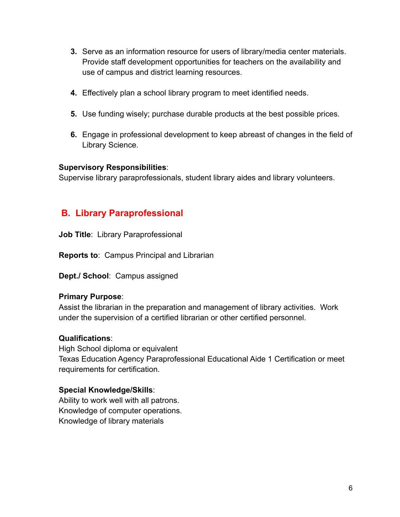- **3.** Serve as an information resource for users of library/media center materials. Provide staff development opportunities for teachers on the availability and use of campus and district learning resources.
- **4.** Effectively plan a school library program to meet identified needs.
- **5.** Use funding wisely; purchase durable products at the best possible prices.
- **6.** Engage in professional development to keep abreast of changes in the field of Library Science.

### **Supervisory Responsibilities**:

Supervise library paraprofessionals, student library aides and library volunteers.

## **B. Library Paraprofessional**

**Job Title**: Library Paraprofessional

**Reports to**: Campus Principal and Librarian

**Dept./ School**: Campus assigned

### **Primary Purpose**:

Assist the librarian in the preparation and management of library activities. Work under the supervision of a certified librarian or other certified personnel.

### **Qualifications**:

High School diploma or equivalent Texas Education Agency Paraprofessional Educational Aide 1 Certification or meet requirements for certification.

### **Special Knowledge/Skills**:

Ability to work well with all patrons. Knowledge of computer operations. Knowledge of library materials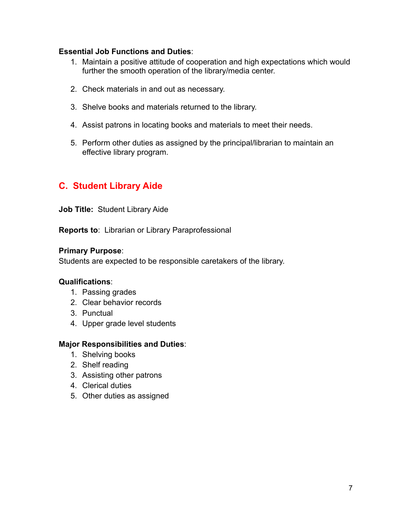#### **Essential Job Functions and Duties**:

- 1. Maintain a positive attitude of cooperation and high expectations which would further the smooth operation of the library/media center.
- 2. Check materials in and out as necessary.
- 3. Shelve books and materials returned to the library.
- 4. Assist patrons in locating books and materials to meet their needs.
- 5. Perform other duties as assigned by the principal/librarian to maintain an effective library program.

## **C. Student Library Aide**

**Job Title:** Student Library Aide

**Reports to**: Librarian or Library Paraprofessional

#### **Primary Purpose**:

Students are expected to be responsible caretakers of the library.

### **Qualifications**:

- 1. Passing grades
- 2. Clear behavior records
- 3. Punctual
- 4. Upper grade level students

### **Major Responsibilities and Duties**:

- 1. Shelving books
- 2. Shelf reading
- 3. Assisting other patrons
- 4. Clerical duties
- 5. Other duties as assigned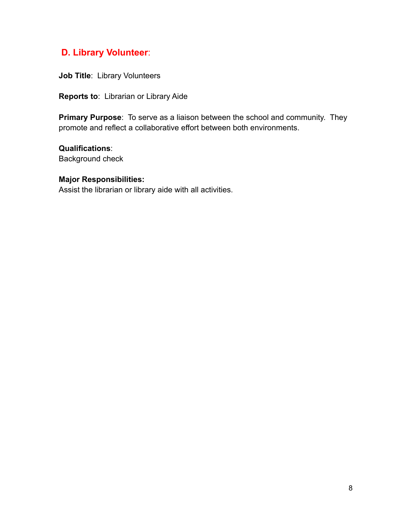## **D. Library Volunteer**:

**Job Title**: Library Volunteers

**Reports to**: Librarian or Library Aide

**Primary Purpose**: To serve as a liaison between the school and community. They promote and reflect a collaborative effort between both environments.

**Qualifications**: Background check

#### **Major Responsibilities:**

Assist the librarian or library aide with all activities.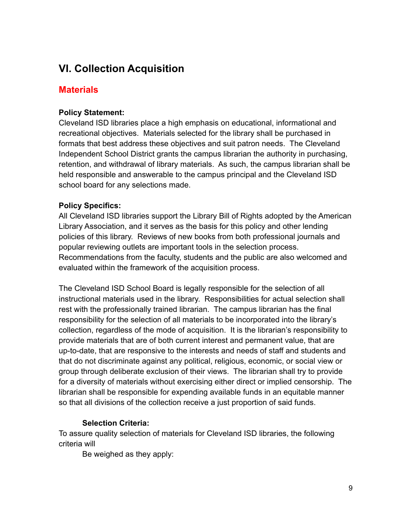## **VI. Collection Acquisition**

## **Materials**

## **Policy Statement:**

Cleveland ISD libraries place a high emphasis on educational, informational and recreational objectives. Materials selected for the library shall be purchased in formats that best address these objectives and suit patron needs. The Cleveland Independent School District grants the campus librarian the authority in purchasing, retention, and withdrawal of library materials. As such, the campus librarian shall be held responsible and answerable to the campus principal and the Cleveland ISD school board for any selections made.

## **Policy Specifics:**

All Cleveland ISD libraries support the Library Bill of Rights adopted by the American Library Association, and it serves as the basis for this policy and other lending policies of this library. Reviews of new books from both professional journals and popular reviewing outlets are important tools in the selection process. Recommendations from the faculty, students and the public are also welcomed and evaluated within the framework of the acquisition process.

The Cleveland ISD School Board is legally responsible for the selection of all instructional materials used in the library. Responsibilities for actual selection shall rest with the professionally trained librarian. The campus librarian has the final responsibility for the selection of all materials to be incorporated into the library's collection, regardless of the mode of acquisition. It is the librarian's responsibility to provide materials that are of both current interest and permanent value, that are up-to-date, that are responsive to the interests and needs of staff and students and that do not discriminate against any political, religious, economic, or social view or group through deliberate exclusion of their views. The librarian shall try to provide for a diversity of materials without exercising either direct or implied censorship. The librarian shall be responsible for expending available funds in an equitable manner so that all divisions of the collection receive a just proportion of said funds.

## **Selection Criteria:**

To assure quality selection of materials for Cleveland ISD libraries, the following criteria will

Be weighed as they apply: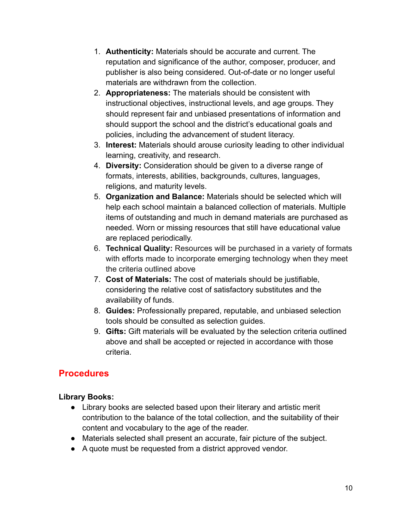- 1. **Authenticity:** Materials should be accurate and current. The reputation and significance of the author, composer, producer, and publisher is also being considered. Out-of-date or no longer useful materials are withdrawn from the collection.
- 2. **Appropriateness:** The materials should be consistent with instructional objectives, instructional levels, and age groups. They should represent fair and unbiased presentations of information and should support the school and the district's educational goals and policies, including the advancement of student literacy.
- 3. **Interest:** Materials should arouse curiosity leading to other individual learning, creativity, and research.
- 4. **Diversity:** Consideration should be given to a diverse range of formats, interests, abilities, backgrounds, cultures, languages, religions, and maturity levels.
- 5. **Organization and Balance:** Materials should be selected which will help each school maintain a balanced collection of materials. Multiple items of outstanding and much in demand materials are purchased as needed. Worn or missing resources that still have educational value are replaced periodically.
- 6. **Technical Quality:** Resources will be purchased in a variety of formats with efforts made to incorporate emerging technology when they meet the criteria outlined above
- 7. **Cost of Materials:** The cost of materials should be justifiable, considering the relative cost of satisfactory substitutes and the availability of funds.
- 8. **Guides:** Professionally prepared, reputable, and unbiased selection tools should be consulted as selection guides.
- 9. **Gifts:** Gift materials will be evaluated by the selection criteria outlined above and shall be accepted or rejected in accordance with those criteria.

## **Procedures**

## **Library Books:**

- Library books are selected based upon their literary and artistic merit contribution to the balance of the total collection, and the suitability of their content and vocabulary to the age of the reader.
- Materials selected shall present an accurate, fair picture of the subject.
- A quote must be requested from a district approved vendor.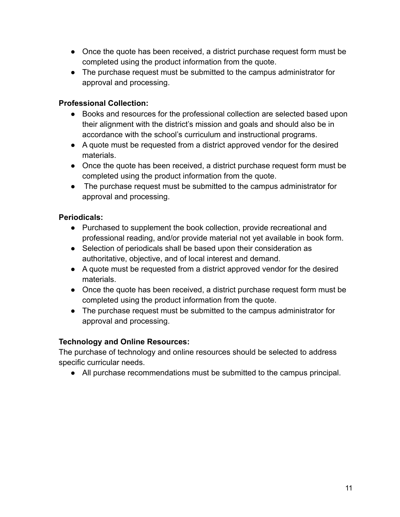- Once the quote has been received, a district purchase request form must be completed using the product information from the quote.
- The purchase request must be submitted to the campus administrator for approval and processing.

## **Professional Collection:**

- Books and resources for the professional collection are selected based upon their alignment with the district's mission and goals and should also be in accordance with the school's curriculum and instructional programs.
- A quote must be requested from a district approved vendor for the desired materials.
- Once the quote has been received, a district purchase request form must be completed using the product information from the quote.
- The purchase request must be submitted to the campus administrator for approval and processing.

## **Periodicals:**

- Purchased to supplement the book collection, provide recreational and professional reading, and/or provide material not yet available in book form.
- Selection of periodicals shall be based upon their consideration as authoritative, objective, and of local interest and demand.
- A quote must be requested from a district approved vendor for the desired materials.
- Once the quote has been received, a district purchase request form must be completed using the product information from the quote.
- The purchase request must be submitted to the campus administrator for approval and processing.

## **Technology and Online Resources:**

The purchase of technology and online resources should be selected to address specific curricular needs.

● All purchase recommendations must be submitted to the campus principal.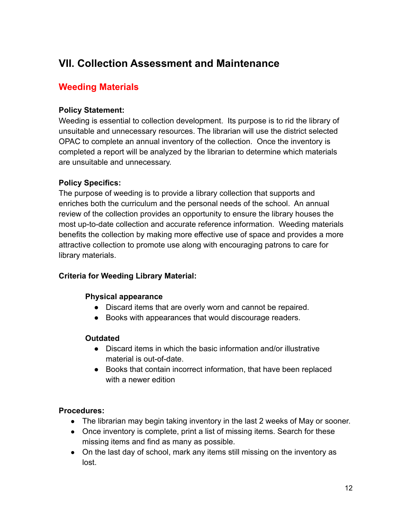## **VII. Collection Assessment and Maintenance**

## **Weeding Materials**

### **Policy Statement:**

Weeding is essential to collection development. Its purpose is to rid the library of unsuitable and unnecessary resources. The librarian will use the district selected OPAC to complete an annual inventory of the collection. Once the inventory is completed a report will be analyzed by the librarian to determine which materials are unsuitable and unnecessary.

## **Policy Specifics:**

The purpose of weeding is to provide a library collection that supports and enriches both the curriculum and the personal needs of the school. An annual review of the collection provides an opportunity to ensure the library houses the most up-to-date collection and accurate reference information. Weeding materials benefits the collection by making more effective use of space and provides a more attractive collection to promote use along with encouraging patrons to care for library materials.

### **Criteria for Weeding Library Material:**

### **Physical appearance**

- Discard items that are overly worn and cannot be repaired.
- Books with appearances that would discourage readers.

### **Outdated**

- Discard items in which the basic information and/or illustrative material is out-of-date.
- Books that contain incorrect information, that have been replaced with a newer edition

### **Procedures:**

- The librarian may begin taking inventory in the last 2 weeks of May or sooner.
- Once inventory is complete, print a list of missing items. Search for these missing items and find as many as possible.
- On the last day of school, mark any items still missing on the inventory as lost.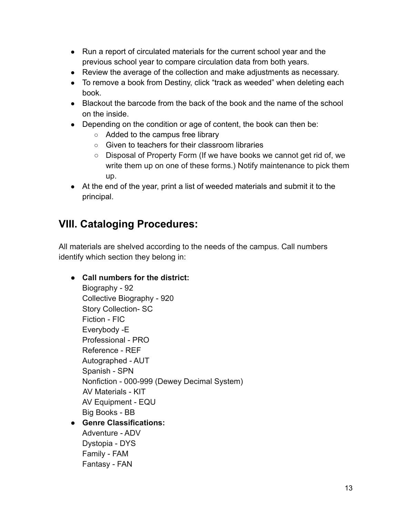- Run a report of circulated materials for the current school year and the previous school year to compare circulation data from both years.
- Review the average of the collection and make adjustments as necessary.
- To remove a book from Destiny, click "track as weeded" when deleting each book.
- Blackout the barcode from the back of the book and the name of the school on the inside.
- Depending on the condition or age of content, the book can then be:
	- Added to the campus free library
	- Given to teachers for their classroom libraries
	- Disposal of Property Form (If we have books we cannot get rid of, we write them up on one of these forms.) Notify maintenance to pick them up.
- At the end of the year, print a list of weeded materials and submit it to the principal.

## **VIII. Cataloging Procedures:**

Family - FAM Fantasy - FAN

All materials are shelved according to the needs of the campus. Call numbers identify which section they belong in:

**● Call numbers for the district:** Biography - 92 Collective Biography - 920 Story Collection- SC Fiction - FIC Everybody -E Professional - PRO Reference - REF Autographed - AUT Spanish - SPN Nonfiction - 000-999 (Dewey Decimal System) AV Materials - KIT AV Equipment - EQU Big Books - BB **● Genre Classifications:** Adventure - ADV Dystopia - DYS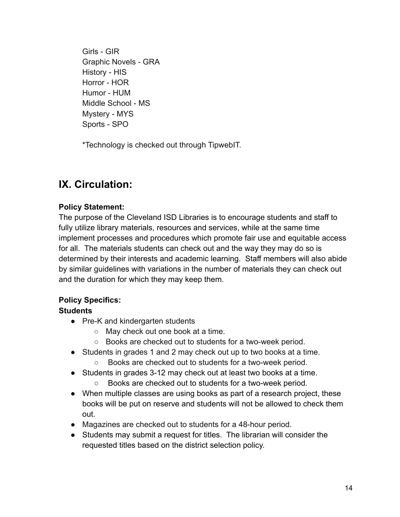Girls - GIR Graphic Novels - GRA History - HIS Horror - HOR Humor - HUM Middle School - MS Mystery - MYS Sports - SPO

\*Technology is checked out through TipwebIT.

## **IX. Circulation:**

## **Policy Statement:**

The purpose of the Cleveland ISD Libraries is to encourage students and staff to fully utilize library materials, resources and services, while at the same time implement processes and procedures which promote fair use and equitable access for all. The materials students can check out and the way they may do so is determined by their interests and academic learning. Staff members will also abide by similar guidelines with variations in the number of materials they can check out and the duration for which they may keep them.

## **Policy Specifics:**

### **Students**

- Pre-K and kindergarten students
	- May check out one book at a time.
	- Books are checked out to students for a two-week period.
- Students in grades 1 and 2 may check out up to two books at a time.
	- Books are checked out to students for a two-week period.
- Students in grades 3-12 may check out at least two books at a time.
	- Books are checked out to students for a two-week period.
- When multiple classes are using books as part of a research project, these books will be put on reserve and students will not be allowed to check them out.
- Magazines are checked out to students for a 48-hour period.
- Students may submit a request for titles. The librarian will consider the requested titles based on the district selection policy.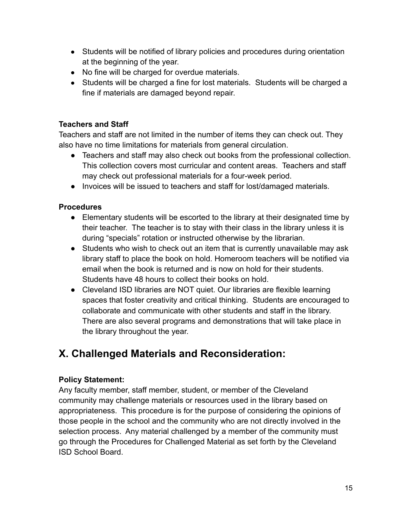- Students will be notified of library policies and procedures during orientation at the beginning of the year.
- No fine will be charged for overdue materials.
- Students will be charged a fine for lost materials. Students will be charged a fine if materials are damaged beyond repair.

### **Teachers and Staff**

Teachers and staff are not limited in the number of items they can check out. They also have no time limitations for materials from general circulation.

- Teachers and staff may also check out books from the professional collection. This collection covers most curricular and content areas. Teachers and staff may check out professional materials for a four-week period.
- Invoices will be issued to teachers and staff for lost/damaged materials.

### **Procedures**

- Elementary students will be escorted to the library at their designated time by their teacher. The teacher is to stay with their class in the library unless it is during "specials" rotation or instructed otherwise by the librarian.
- Students who wish to check out an item that is currently unavailable may ask library staff to place the book on hold. Homeroom teachers will be notified via email when the book is returned and is now on hold for their students. Students have 48 hours to collect their books on hold.
- Cleveland ISD libraries are NOT quiet. Our libraries are flexible learning spaces that foster creativity and critical thinking. Students are encouraged to collaborate and communicate with other students and staff in the library. There are also several programs and demonstrations that will take place in the library throughout the year.

## **X. Challenged Materials and Reconsideration:**

### **Policy Statement:**

Any faculty member, staff member, student, or member of the Cleveland community may challenge materials or resources used in the library based on appropriateness. This procedure is for the purpose of considering the opinions of those people in the school and the community who are not directly involved in the selection process. Any material challenged by a member of the community must go through the Procedures for Challenged Material as set forth by the Cleveland ISD School Board.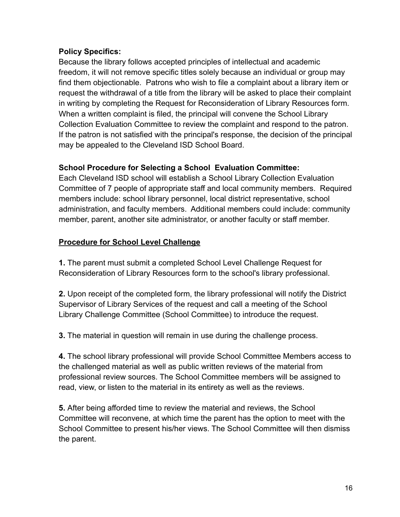## **Policy Specifics:**

Because the library follows accepted principles of intellectual and academic freedom, it will not remove specific titles solely because an individual or group may find them objectionable. Patrons who wish to file a complaint about a library item or request the withdrawal of a title from the library will be asked to place their complaint in writing by completing the Request for Reconsideration of Library Resources form. When a written complaint is filed, the principal will convene the School Library Collection Evaluation Committee to review the complaint and respond to the patron. If the patron is not satisfied with the principal's response, the decision of the principal may be appealed to the Cleveland ISD School Board.

## **School Procedure for Selecting a School Evaluation Committee:**

Each Cleveland ISD school will establish a School Library Collection Evaluation Committee of 7 people of appropriate staff and local community members. Required members include: school library personnel, local district representative, school administration, and faculty members. Additional members could include: community member, parent, another site administrator, or another faculty or staff member.

## **Procedure for School Level Challenge**

**1.** The parent must submit a completed School Level Challenge Request for Reconsideration of Library Resources form to the school's library professional.

**2.** Upon receipt of the completed form, the library professional will notify the District Supervisor of Library Services of the request and call a meeting of the School Library Challenge Committee (School Committee) to introduce the request.

**3.** The material in question will remain in use during the challenge process.

**4.** The school library professional will provide School Committee Members access to the challenged material as well as public written reviews of the material from professional review sources. The School Committee members will be assigned to read, view, or listen to the material in its entirety as well as the reviews.

**5.** After being afforded time to review the material and reviews, the School Committee will reconvene, at which time the parent has the option to meet with the School Committee to present his/her views. The School Committee will then dismiss the parent.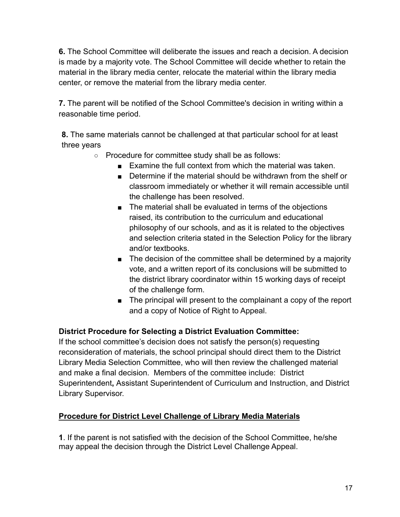**6.** The School Committee will deliberate the issues and reach a decision. A decision is made by a majority vote. The School Committee will decide whether to retain the material in the library media center, relocate the material within the library media center, or remove the material from the library media center.

**7.** The parent will be notified of the School Committee's decision in writing within a reasonable time period.

**8.** The same materials cannot be challenged at that particular school for at least three years

- Procedure for committee study shall be as follows:
	- Examine the full context from which the material was taken.
	- Determine if the material should be withdrawn from the shelf or classroom immediately or whether it will remain accessible until the challenge has been resolved.
	- The material shall be evaluated in terms of the objections raised, its contribution to the curriculum and educational philosophy of our schools, and as it is related to the objectives and selection criteria stated in the Selection Policy for the library and/or textbooks.
	- The decision of the committee shall be determined by a majority vote, and a written report of its conclusions will be submitted to the district library coordinator within 15 working days of receipt of the challenge form.
	- The principal will present to the complainant a copy of the report and a copy of Notice of Right to Appeal.

## **District Procedure for Selecting a District Evaluation Committee:**

If the school committee's decision does not satisfy the person(s) requesting reconsideration of materials, the school principal should direct them to the District Library Media Selection Committee, who will then review the challenged material and make a final decision. Members of the committee include: District Superintendent**,** Assistant Superintendent of Curriculum and Instruction, and District Library Supervisor.

### **Procedure for District Level Challenge of Library Media Materials**

**1**. If the parent is not satisfied with the decision of the School Committee, he/she may appeal the decision through the District Level Challenge Appeal.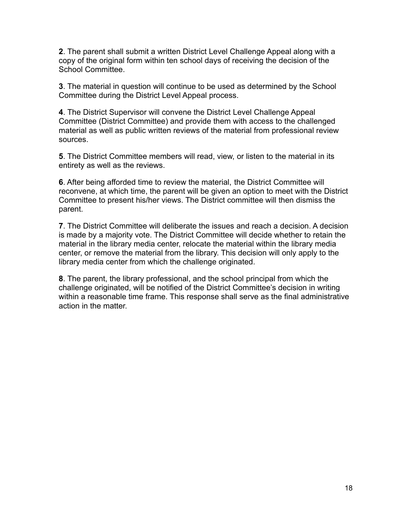**2**. The parent shall submit a written District Level Challenge Appeal along with a copy of the original form within ten school days of receiving the decision of the School Committee.

**3**. The material in question will continue to be used as determined by the School Committee during the District Level Appeal process.

**4**. The District Supervisor will convene the District Level Challenge Appeal Committee (District Committee) and provide them with access to the challenged material as well as public written reviews of the material from professional review sources.

**5**. The District Committee members will read, view, or listen to the material in its entirety as well as the reviews.

**6**. After being afforded time to review the material, the District Committee will reconvene, at which time, the parent will be given an option to meet with the District Committee to present his/her views. The District committee will then dismiss the parent.

**7**. The District Committee will deliberate the issues and reach a decision. A decision is made by a majority vote. The District Committee will decide whether to retain the material in the library media center, relocate the material within the library media center, or remove the material from the library. This decision will only apply to the library media center from which the challenge originated.

**8**. The parent, the library professional, and the school principal from which the challenge originated, will be notified of the District Committee's decision in writing within a reasonable time frame. This response shall serve as the final administrative action in the matter.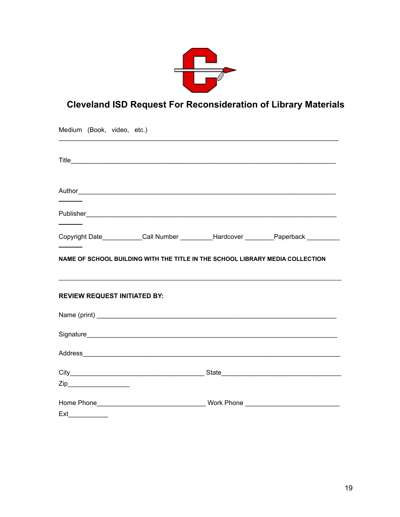

## **Cleveland ISD Request For Reconsideration of Library Materials**

| Medium (Book, video, etc.)                                                    |  |                                                                                       |
|-------------------------------------------------------------------------------|--|---------------------------------------------------------------------------------------|
|                                                                               |  |                                                                                       |
|                                                                               |  |                                                                                       |
|                                                                               |  |                                                                                       |
|                                                                               |  | Copyright Date___________Call Number __________Hardcover _________Paperback _________ |
| NAME OF SCHOOL BUILDING WITH THE TITLE IN THE SCHOOL LIBRARY MEDIA COLLECTION |  |                                                                                       |
| <b>REVIEW REQUEST INITIATED BY:</b>                                           |  |                                                                                       |
|                                                                               |  |                                                                                       |
|                                                                               |  |                                                                                       |
|                                                                               |  |                                                                                       |
|                                                                               |  |                                                                                       |
|                                                                               |  |                                                                                       |
| Ext                                                                           |  |                                                                                       |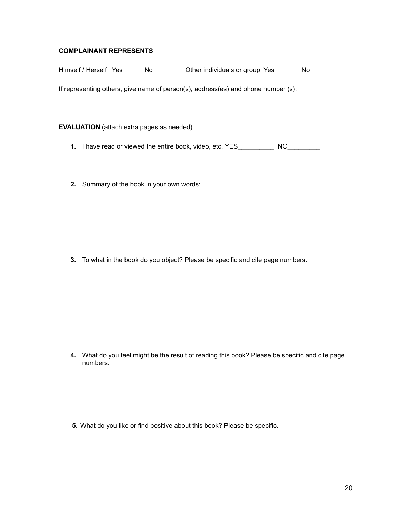#### **COMPLAINANT REPRESENTS**

Himself / Herself Yes\_\_\_\_\_ No\_\_\_\_\_\_ Other individuals or group Yes\_\_\_\_\_\_ No\_\_\_\_\_\_

If representing others, give name of person(s), address(es) and phone number (s):

#### **EVALUATION** (attach extra pages as needed)

- **1.** I have read or viewed the entire book, video, etc. YES\_\_\_\_\_\_\_\_\_\_\_ NO\_\_\_\_\_\_\_\_
- **2.** Summary of the book in your own words:

**3.** To what in the book do you object? Please be specific and cite page numbers.

**4.** What do you feel might be the result of reading this book? Please be specific and cite page numbers.

**5.** What do you like or find positive about this book? Please be specific.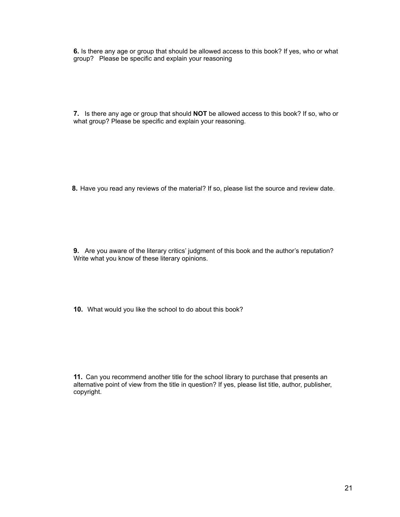**6.** Is there any age or group that should be allowed access to this book? If yes, who or what group? Please be specific and explain your reasoning

**7.** Is there any age or group that should **NOT** be allowed access to this book? If so, who or what group? Please be specific and explain your reasoning.

**8.** Have you read any reviews of the material? If so, please list the source and review date.

**9.** Are you aware of the literary critics' judgment of this book and the author's reputation? Write what you know of these literary opinions.

**10.** What would you like the school to do about this book?

**11.** Can you recommend another title for the school library to purchase that presents an alternative point of view from the title in question? If yes, please list title, author, publisher, copyright.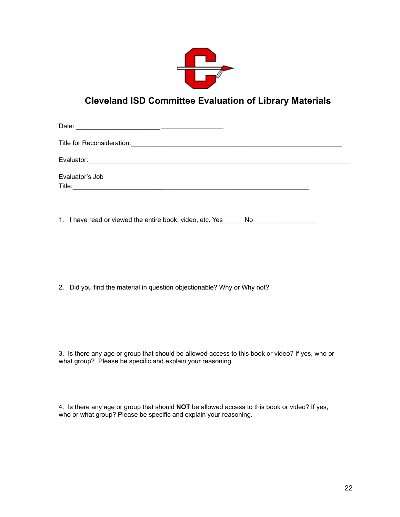

## **Cleveland ISD Committee Evaluation of Library Materials**

Date: \_\_\_\_\_\_\_\_\_\_\_\_\_\_\_\_\_\_\_\_\_\_\_

Title for Reconsideration:\_\_\_\_\_\_\_\_\_\_\_\_\_\_\_\_\_\_\_\_\_\_\_\_\_\_\_\_\_\_\_\_\_\_\_\_\_\_\_\_\_\_\_\_\_\_\_\_\_\_\_\_\_\_\_\_\_\_

Evaluator:\_\_\_\_\_\_\_\_\_\_\_\_\_\_\_\_\_\_\_\_\_\_\_\_\_\_\_\_\_\_\_\_\_\_\_\_\_\_\_\_\_\_\_\_\_\_\_\_\_\_\_\_\_\_\_\_\_\_\_\_\_\_\_\_\_\_\_\_\_\_\_\_

Evaluator's Job

Title:\_\_\_\_\_\_\_\_\_\_\_\_\_\_\_\_\_\_\_\_\_\_\_\_\_**\_\_\_\_\_\_\_\_\_\_\_\_\_\_\_\_\_\_\_\_\_\_\_\_\_\_\_\_\_\_\_\_\_\_\_\_\_\_\_\_**

1. I have read or viewed the entire book, video, etc. Yes No

2. Did you find the material in question objectionable? Why or Why not?

3. Is there any age or group that should be allowed access to this book or video? If yes, who or what group? Please be specific and explain your reasoning.

4. Is there any age or group that should **NOT** be allowed access to this book or video? If yes, who or what group? Please be specific and explain your reasoning.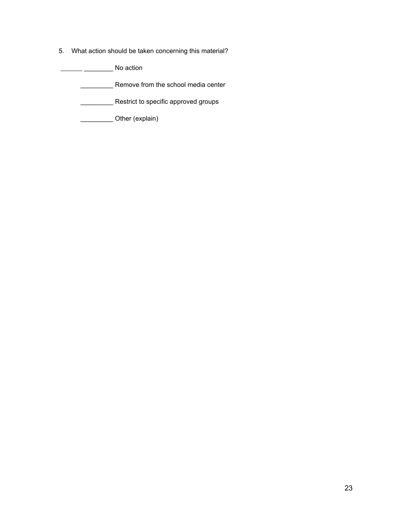5. What action should be taken concerning this material?

\_\_\_\_\_\_\_\_ No action

**EXECUTE:** Remove from the school media center

**\_\_\_\_\_\_\_\_\_\_\_\_\_\_\_\_\_ Restrict to specific approved groups** 

\_\_\_\_\_\_\_\_\_ Other (explain)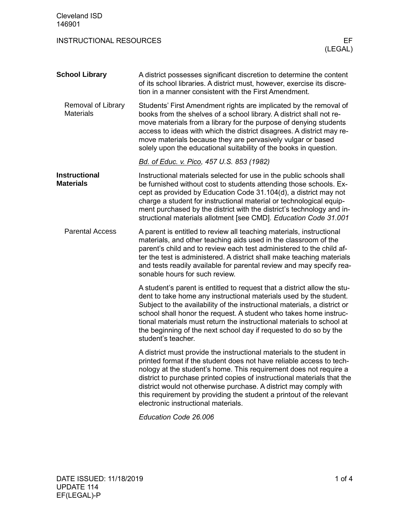| <b>Cleveland ISD</b><br>146901           |                                                                                                                                                                                                                                                                                                                                                                                                                                                                                   |
|------------------------------------------|-----------------------------------------------------------------------------------------------------------------------------------------------------------------------------------------------------------------------------------------------------------------------------------------------------------------------------------------------------------------------------------------------------------------------------------------------------------------------------------|
| <b>INSTRUCTIONAL RESOURCES</b>           | EF<br>(LEGAL)                                                                                                                                                                                                                                                                                                                                                                                                                                                                     |
| <b>School Library</b>                    | A district possesses significant discretion to determine the content<br>of its school libraries. A district must, however, exercise its discre-<br>tion in a manner consistent with the First Amendment.                                                                                                                                                                                                                                                                          |
| Removal of Library<br><b>Materials</b>   | Students' First Amendment rights are implicated by the removal of<br>books from the shelves of a school library. A district shall not re-<br>move materials from a library for the purpose of denying students<br>access to ideas with which the district disagrees. A district may re-<br>move materials because they are pervasively vulgar or based<br>solely upon the educational suitability of the books in question.                                                       |
|                                          | Bd. of Educ. v. Pico, 457 U.S. 853 (1982)                                                                                                                                                                                                                                                                                                                                                                                                                                         |
| <b>Instructional</b><br><b>Materials</b> | Instructional materials selected for use in the public schools shall<br>be furnished without cost to students attending those schools. Ex-<br>cept as provided by Education Code 31.104(d), a district may not<br>charge a student for instructional material or technological equip-<br>ment purchased by the district with the district's technology and in-<br>structional materials allotment [see CMD]. Education Code 31.001                                                |
| <b>Parental Access</b>                   | A parent is entitled to review all teaching materials, instructional<br>materials, and other teaching aids used in the classroom of the<br>parent's child and to review each test administered to the child af-<br>ter the test is administered. A district shall make teaching materials<br>and tests readily available for parental review and may specify rea-<br>sonable hours for such review.                                                                               |
|                                          | A student's parent is entitled to request that a district allow the stu-<br>dent to take home any instructional materials used by the student.<br>Subject to the availability of the instructional materials, a district or<br>school shall honor the request. A student who takes home instruc-<br>tional materials must return the instructional materials to school at<br>the beginning of the next school day if requested to do so by the<br>student's teacher.              |
|                                          | A district must provide the instructional materials to the student in<br>printed format if the student does not have reliable access to tech-<br>nology at the student's home. This requirement does not require a<br>district to purchase printed copies of instructional materials that the<br>district would not otherwise purchase. A district may comply with<br>this requirement by providing the student a printout of the relevant<br>electronic instructional materials. |

*Education Code 26.006*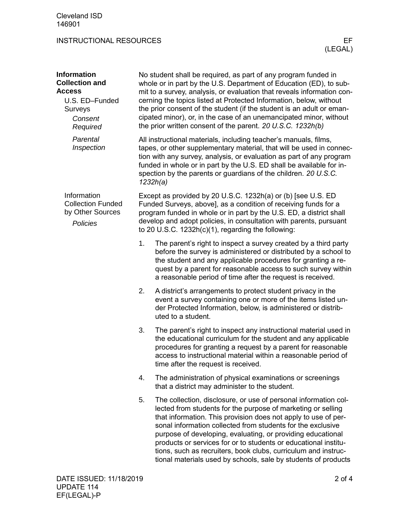| <b>Information</b><br><b>Collection and</b><br><b>Access</b><br>U.S. ED-Funded<br>Surveys<br>Consent<br>Required |    | No student shall be required, as part of any program funded in<br>whole or in part by the U.S. Department of Education (ED), to sub-<br>mit to a survey, analysis, or evaluation that reveals information con-<br>cerning the topics listed at Protected Information, below, without<br>the prior consent of the student (if the student is an adult or eman-<br>cipated minor), or, in the case of an unemancipated minor, without<br>the prior written consent of the parent. 20 U.S.C. 1232h(b)                                     |
|------------------------------------------------------------------------------------------------------------------|----|----------------------------------------------------------------------------------------------------------------------------------------------------------------------------------------------------------------------------------------------------------------------------------------------------------------------------------------------------------------------------------------------------------------------------------------------------------------------------------------------------------------------------------------|
| Parental<br>Inspection                                                                                           |    | All instructional materials, including teacher's manuals, films,<br>tapes, or other supplementary material, that will be used in connec-<br>tion with any survey, analysis, or evaluation as part of any program<br>funded in whole or in part by the U.S. ED shall be available for in-<br>spection by the parents or guardians of the children. 20 U.S.C.<br>1232h(a)                                                                                                                                                                |
| Information<br><b>Collection Funded</b><br>by Other Sources<br><b>Policies</b>                                   |    | Except as provided by 20 U.S.C. 1232h(a) or (b) [see U.S. ED<br>Funded Surveys, above], as a condition of receiving funds for a<br>program funded in whole or in part by the U.S. ED, a district shall<br>develop and adopt policies, in consultation with parents, pursuant<br>to 20 U.S.C. $1232h(c)(1)$ , regarding the following:                                                                                                                                                                                                  |
|                                                                                                                  | 1. | The parent's right to inspect a survey created by a third party<br>before the survey is administered or distributed by a school to<br>the student and any applicable procedures for granting a re-<br>quest by a parent for reasonable access to such survey within<br>a reasonable period of time after the request is received.                                                                                                                                                                                                      |
|                                                                                                                  | 2. | A district's arrangements to protect student privacy in the<br>event a survey containing one or more of the items listed un-<br>der Protected Information, below, is administered or distrib-<br>uted to a student.                                                                                                                                                                                                                                                                                                                    |
|                                                                                                                  | 3. | The parent's right to inspect any instructional material used in<br>the educational curriculum for the student and any applicable<br>procedures for granting a request by a parent for reasonable<br>access to instructional material within a reasonable period of<br>time after the request is received.                                                                                                                                                                                                                             |
|                                                                                                                  | 4. | The administration of physical examinations or screenings<br>that a district may administer to the student.                                                                                                                                                                                                                                                                                                                                                                                                                            |
|                                                                                                                  | 5. | The collection, disclosure, or use of personal information col-<br>lected from students for the purpose of marketing or selling<br>that information. This provision does not apply to use of per-<br>sonal information collected from students for the exclusive<br>purpose of developing, evaluating, or providing educational<br>products or services for or to students or educational institu-<br>tions, such as recruiters, book clubs, curriculum and instruc-<br>tional materials used by schools, sale by students of products |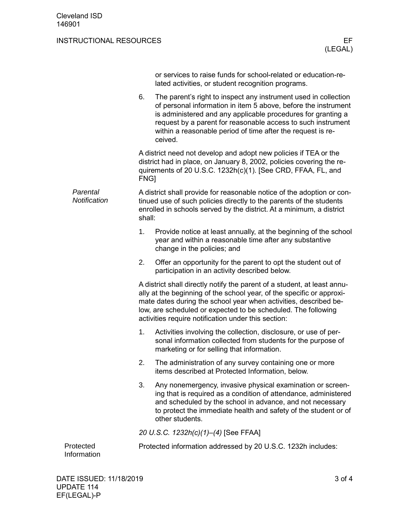|                          |                                                                                                                                                                                                                                 | or services to raise funds for school-related or education-re-<br>lated activities, or student recognition programs.                                                                                                                                                                                                                          |  |
|--------------------------|---------------------------------------------------------------------------------------------------------------------------------------------------------------------------------------------------------------------------------|-----------------------------------------------------------------------------------------------------------------------------------------------------------------------------------------------------------------------------------------------------------------------------------------------------------------------------------------------|--|
|                          | 6.                                                                                                                                                                                                                              | The parent's right to inspect any instrument used in collection<br>of personal information in item 5 above, before the instrument<br>is administered and any applicable procedures for granting a<br>request by a parent for reasonable access to such instrument<br>within a reasonable period of time after the request is re-<br>ceived.   |  |
|                          | A district need not develop and adopt new policies if TEA or the<br>district had in place, on January 8, 2002, policies covering the re-<br>quirements of 20 U.S.C. 1232h(c)(1). [See CRD, FFAA, FL, and<br>FNG]                |                                                                                                                                                                                                                                                                                                                                               |  |
| Parental<br>Notification | A district shall provide for reasonable notice of the adoption or con-<br>tinued use of such policies directly to the parents of the students<br>enrolled in schools served by the district. At a minimum, a district<br>shall: |                                                                                                                                                                                                                                                                                                                                               |  |
|                          | 1.                                                                                                                                                                                                                              | Provide notice at least annually, at the beginning of the school<br>year and within a reasonable time after any substantive<br>change in the policies; and                                                                                                                                                                                    |  |
|                          | 2.                                                                                                                                                                                                                              | Offer an opportunity for the parent to opt the student out of<br>participation in an activity described below.                                                                                                                                                                                                                                |  |
|                          |                                                                                                                                                                                                                                 | A district shall directly notify the parent of a student, at least annu-<br>ally at the beginning of the school year, of the specific or approxi-<br>mate dates during the school year when activities, described be-<br>low, are scheduled or expected to be scheduled. The following<br>activities require notification under this section: |  |
|                          | 1.                                                                                                                                                                                                                              | Activities involving the collection, disclosure, or use of per-<br>sonal information collected from students for the purpose of<br>marketing or for selling that information.                                                                                                                                                                 |  |
|                          | 2.                                                                                                                                                                                                                              | The administration of any survey containing one or more<br>items described at Protected Information, below.                                                                                                                                                                                                                                   |  |
|                          | 3.                                                                                                                                                                                                                              | Any nonemergency, invasive physical examination or screen-<br>ing that is required as a condition of attendance, administered<br>and scheduled by the school in advance, and not necessary<br>to protect the immediate health and safety of the student or of<br>other students.                                                              |  |
|                          | 20 U.S.C. 1232h(c)(1)-(4) [See FFAA]                                                                                                                                                                                            |                                                                                                                                                                                                                                                                                                                                               |  |
| Protected<br>Information |                                                                                                                                                                                                                                 | Protected information addressed by 20 U.S.C. 1232h includes:                                                                                                                                                                                                                                                                                  |  |
|                          |                                                                                                                                                                                                                                 |                                                                                                                                                                                                                                                                                                                                               |  |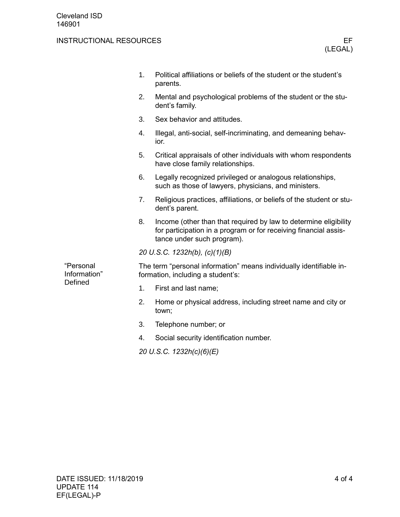|                                      | 1.                                                                                                       | Political affiliations or beliefs of the student or the student's<br>parents.                                                                                      |  |
|--------------------------------------|----------------------------------------------------------------------------------------------------------|--------------------------------------------------------------------------------------------------------------------------------------------------------------------|--|
|                                      | 2.                                                                                                       | Mental and psychological problems of the student or the stu-<br>dent's family.                                                                                     |  |
|                                      | 3.                                                                                                       | Sex behavior and attitudes.                                                                                                                                        |  |
|                                      | 4.                                                                                                       | Illegal, anti-social, self-incriminating, and demeaning behav-<br>ior.                                                                                             |  |
|                                      | 5.                                                                                                       | Critical appraisals of other individuals with whom respondents<br>have close family relationships.                                                                 |  |
|                                      | 6.                                                                                                       | Legally recognized privileged or analogous relationships,<br>such as those of lawyers, physicians, and ministers.                                                  |  |
|                                      | 7.                                                                                                       | Religious practices, affiliations, or beliefs of the student or stu-<br>dent's parent.                                                                             |  |
|                                      | 8.                                                                                                       | Income (other than that required by law to determine eligibility<br>for participation in a program or for receiving financial assis-<br>tance under such program). |  |
|                                      |                                                                                                          | 20 U.S.C. 1232h(b), (c)(1)(B)                                                                                                                                      |  |
| "Personal<br>Information"<br>Defined | The term "personal information" means individually identifiable in-<br>formation, including a student's: |                                                                                                                                                                    |  |
|                                      | 1.                                                                                                       | First and last name;                                                                                                                                               |  |
|                                      | 2.                                                                                                       | Home or physical address, including street name and city or<br>town;                                                                                               |  |
|                                      | 3.                                                                                                       | Telephone number; or                                                                                                                                               |  |
|                                      | 4.                                                                                                       | Social security identification number.                                                                                                                             |  |
|                                      |                                                                                                          |                                                                                                                                                                    |  |

*20 U.S.C. 1232h(c)(6)(E)*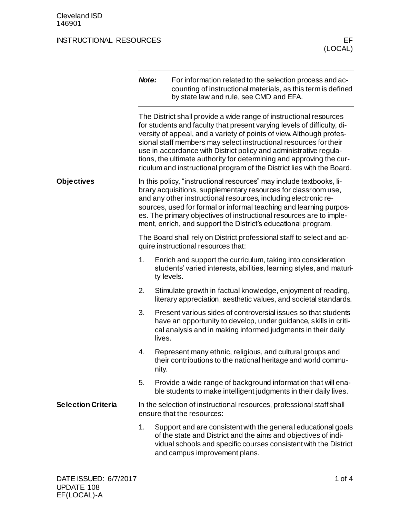|                           | Note:                                                                                                        | For information related to the selection process and ac-<br>counting of instructional materials, as this term is defined<br>by state law and rule, see CMD and EFA.                                                                                                                                                                                                                                                                                                                                               |  |
|---------------------------|--------------------------------------------------------------------------------------------------------------|-------------------------------------------------------------------------------------------------------------------------------------------------------------------------------------------------------------------------------------------------------------------------------------------------------------------------------------------------------------------------------------------------------------------------------------------------------------------------------------------------------------------|--|
|                           |                                                                                                              | The District shall provide a wide range of instructional resources<br>for students and faculty that present varying levels of difficulty, di-<br>versity of appeal, and a variety of points of view. Although profes-<br>sional staff members may select instructional resources for their<br>use in accordance with District policy and administrative regula-<br>tions, the ultimate authority for determining and approving the cur-<br>riculum and instructional program of the District lies with the Board. |  |
| <b>Objectives</b>         |                                                                                                              | In this policy, "instructional resources" may include textbooks, li-<br>brary acquisitions, supplementary resources for classroom use,<br>and any other instructional resources, including electronic re-<br>sources, used for formal or informal teaching and learning purpos-<br>es. The primary objectives of instructional resources are to imple-<br>ment, enrich, and support the District's educational program.                                                                                           |  |
|                           | The Board shall rely on District professional staff to select and ac-<br>quire instructional resources that: |                                                                                                                                                                                                                                                                                                                                                                                                                                                                                                                   |  |
|                           | 1.                                                                                                           | Enrich and support the curriculum, taking into consideration<br>students' varied interests, abilities, learning styles, and maturi-<br>ty levels.                                                                                                                                                                                                                                                                                                                                                                 |  |
|                           | 2.                                                                                                           | Stimulate growth in factual knowledge, enjoyment of reading,<br>literary appreciation, aesthetic values, and societal standards.                                                                                                                                                                                                                                                                                                                                                                                  |  |
|                           | 3.                                                                                                           | Present various sides of controversial issues so that students<br>have an opportunity to develop, under guidance, skills in criti-<br>cal analysis and in making informed judgments in their daily<br>lives.                                                                                                                                                                                                                                                                                                      |  |
|                           | 4.                                                                                                           | Represent many ethnic, religious, and cultural groups and<br>their contributions to the national heritage and world commu-<br>nity.                                                                                                                                                                                                                                                                                                                                                                               |  |
|                           | 5.                                                                                                           | Provide a wide range of background information that will ena-<br>ble students to make intelligent judgments in their daily lives.                                                                                                                                                                                                                                                                                                                                                                                 |  |
| <b>Selection Criteria</b> |                                                                                                              | In the selection of instructional resources, professional staff shall<br>ensure that the resources:                                                                                                                                                                                                                                                                                                                                                                                                               |  |
|                           | 1.                                                                                                           | Support and are consistent with the general educational goals<br>of the state and District and the aims and objectives of indi-<br>vidual schools and specific courses consistent with the District<br>and campus improvement plans.                                                                                                                                                                                                                                                                              |  |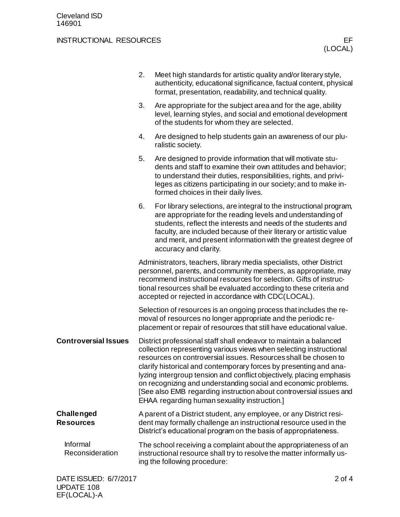|                                       | 2.                                                                                                                                                                                                                                                                                                                                        | Meet high standards for artistic quality and/or literary style,<br>authenticity, educational significance, factual content, physical<br>format, presentation, readability, and technical quality.                                                                                                                                                                                                                                                                                                                                               |          |
|---------------------------------------|-------------------------------------------------------------------------------------------------------------------------------------------------------------------------------------------------------------------------------------------------------------------------------------------------------------------------------------------|-------------------------------------------------------------------------------------------------------------------------------------------------------------------------------------------------------------------------------------------------------------------------------------------------------------------------------------------------------------------------------------------------------------------------------------------------------------------------------------------------------------------------------------------------|----------|
|                                       | 3.                                                                                                                                                                                                                                                                                                                                        | Are appropriate for the subject area and for the age, ability<br>level, learning styles, and social and emotional development<br>of the students for whom they are selected.                                                                                                                                                                                                                                                                                                                                                                    |          |
|                                       | 4.                                                                                                                                                                                                                                                                                                                                        | Are designed to help students gain an awareness of our plu-<br>ralistic society.                                                                                                                                                                                                                                                                                                                                                                                                                                                                |          |
|                                       | 5.                                                                                                                                                                                                                                                                                                                                        | Are designed to provide information that will motivate stu-<br>dents and staff to examine their own attitudes and behavior;<br>to understand their duties, responsibilities, rights, and privi-<br>leges as citizens participating in our society; and to make in-<br>formed choices in their daily lives.                                                                                                                                                                                                                                      |          |
|                                       | 6.                                                                                                                                                                                                                                                                                                                                        | For library selections, are integral to the instructional program,<br>are appropriate for the reading levels and understanding of<br>students, reflect the interests and needs of the students and<br>faculty, are included because of their literary or artistic value<br>and merit, and present information with the greatest degree of<br>accuracy and clarity.                                                                                                                                                                              |          |
|                                       | Administrators, teachers, library media specialists, other District<br>personnel, parents, and community members, as appropriate, may<br>recommend instructional resources for selection. Gifts of instruc-<br>tional resources shall be evaluated according to these criteria and<br>accepted or rejected in accordance with CDC(LOCAL). |                                                                                                                                                                                                                                                                                                                                                                                                                                                                                                                                                 |          |
|                                       |                                                                                                                                                                                                                                                                                                                                           | Selection of resources is an ongoing process that includes the re-<br>moval of resources no longer appropriate and the periodic re-<br>placement or repair of resources that still have educational value.                                                                                                                                                                                                                                                                                                                                      |          |
| <b>Controversial Issues</b>           |                                                                                                                                                                                                                                                                                                                                           | District professional staff shall endeavor to maintain a balanced<br>collection representing various views when selecting instructional<br>resources on controversial issues. Resources shall be chosen to<br>clarify historical and contemporary forces by presenting and ana-<br>lyzing intergroup tension and conflict objectively, placing emphasis<br>on recognizing and understanding social and economic problems.<br>[See also EMB regarding instruction about controversial issues and<br>EHAA regarding human sexuality instruction.] |          |
| <b>Challenged</b><br><b>Resources</b> |                                                                                                                                                                                                                                                                                                                                           | A parent of a District student, any employee, or any District resi-<br>dent may formally challenge an instructional resource used in the<br>District's educational program on the basis of appropriateness.                                                                                                                                                                                                                                                                                                                                     |          |
| Informal<br>Reconsideration           |                                                                                                                                                                                                                                                                                                                                           | The school receiving a complaint about the appropriateness of an<br>instructional resource shall try to resolve the matter informally us-<br>ing the following procedure:                                                                                                                                                                                                                                                                                                                                                                       |          |
| DATE ISSUED: 6/7/2017                 |                                                                                                                                                                                                                                                                                                                                           |                                                                                                                                                                                                                                                                                                                                                                                                                                                                                                                                                 | $2$ of 4 |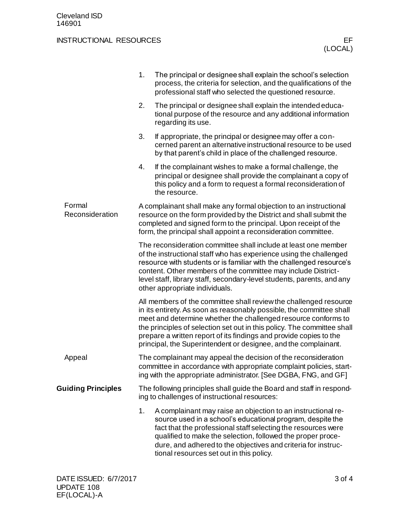|                           | 1.<br>The principal or designee shall explain the school's selection<br>process, the criteria for selection, and the qualifications of the<br>professional staff who selected the questioned resource.                                                                                                                                                                                                                          |  |  |
|---------------------------|---------------------------------------------------------------------------------------------------------------------------------------------------------------------------------------------------------------------------------------------------------------------------------------------------------------------------------------------------------------------------------------------------------------------------------|--|--|
|                           | The principal or designee shall explain the intended educa-<br>2.<br>tional purpose of the resource and any additional information<br>regarding its use.                                                                                                                                                                                                                                                                        |  |  |
|                           | 3.<br>If appropriate, the principal or designee may offer a con-<br>cerned parent an alternative instructional resource to be used<br>by that parent's child in place of the challenged resource.                                                                                                                                                                                                                               |  |  |
|                           | 4.<br>If the complainant wishes to make a formal challenge, the<br>principal or designee shall provide the complainant a copy of<br>this policy and a form to request a formal reconsideration of<br>the resource.                                                                                                                                                                                                              |  |  |
| Formal<br>Reconsideration | A complainant shall make any formal objection to an instructional<br>resource on the form provided by the District and shall submit the<br>completed and signed form to the principal. Upon receipt of the<br>form, the principal shall appoint a reconsideration committee.                                                                                                                                                    |  |  |
|                           | The reconsideration committee shall include at least one member<br>of the instructional staff who has experience using the challenged<br>resource with students or is familiar with the challenged resource's<br>content. Other members of the committee may include District-<br>level staff, library staff, secondary-level students, parents, and any<br>other appropriate individuals.                                      |  |  |
|                           | All members of the committee shall review the challenged resource<br>in its entirety. As soon as reasonably possible, the committee shall<br>meet and determine whether the challenged resource conforms to<br>the principles of selection set out in this policy. The committee shall<br>prepare a written report of its findings and provide copies to the<br>principal, the Superintendent or designee, and the complainant. |  |  |
| Appeal                    | The complainant may appeal the decision of the reconsideration<br>committee in accordance with appropriate complaint policies, start-<br>ing with the appropriate administrator. [See DGBA, FNG, and GF]                                                                                                                                                                                                                        |  |  |
| <b>Guiding Principles</b> | The following principles shall guide the Board and staff in respond-<br>ing to challenges of instructional resources:                                                                                                                                                                                                                                                                                                           |  |  |
|                           | A complainant may raise an objection to an instructional re-<br>1.<br>source used in a school's educational program, despite the<br>fact that the professional staff selecting the resources were<br>qualified to make the selection, followed the proper proce-<br>dure, and adhered to the objectives and criteria for instruc-<br>tional resources set out in this policy.                                                   |  |  |